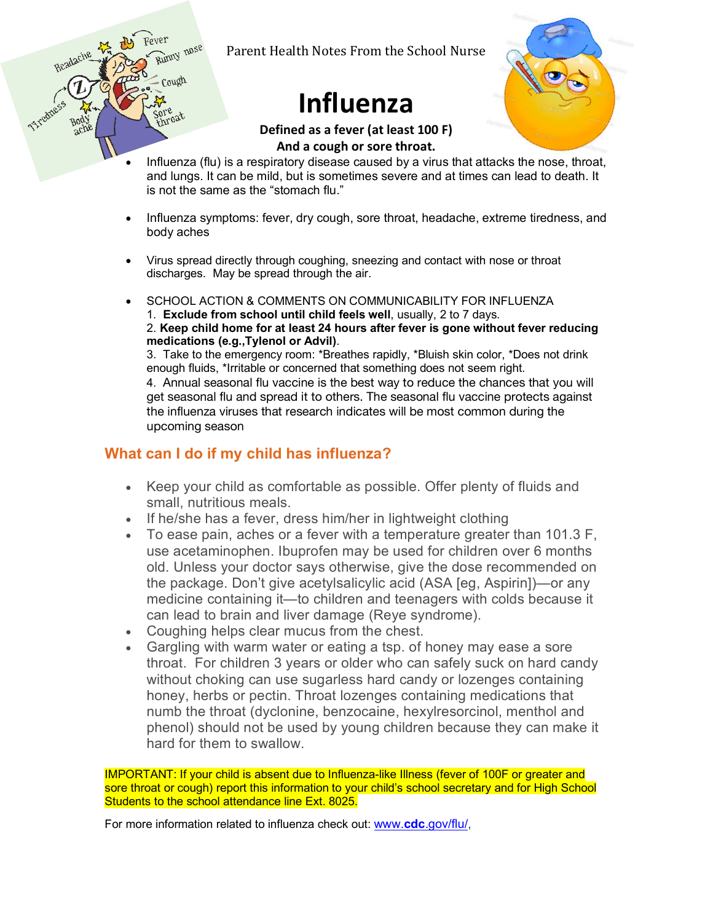Parent Health Notes From the School Nurse

## **Influenza**



**Defined as a fever (at least 100 F) And a cough or sore throat.**

- Influenza (flu) is a respiratory disease caused by a virus that attacks the nose, throat, and lungs. It can be mild, but is sometimes severe and at times can lead to death. It is not the same as the "stomach flu."
- Influenza symptoms: fever, dry cough, sore throat, headache, extreme tiredness, and body aches
- Virus spread directly through coughing, sneezing and contact with nose or throat discharges. May be spread through the air.
- SCHOOL ACTION & COMMENTS ON COMMUNICABILITY FOR INFLUENZA
	- 1. **Exclude from school until child feels well**, usually, 2 to 7 days.

2. **Keep child home for at least 24 hours after fever is gone without fever reducing medications (e.g.,Tylenol or Advil)**.

3. Take to the emergency room: \*Breathes rapidly, \*Bluish skin color, \*Does not drink enough fluids, \*Irritable or concerned that something does not seem right.

4. Annual seasonal flu vaccine is the best way to reduce the chances that you will get seasonal flu and spread it to others. The seasonal flu vaccine protects against the influenza viruses that research indicates will be most common during the upcoming season

## **What can I do if my child has influenza?**

Headache

Cough

 $\cos t$ 

- Keep your child as comfortable as possible. Offer plenty of fluids and small, nutritious meals.
- If he/she has a fever, dress him/her in lightweight clothing
- To ease pain, aches or a fever with a temperature greater than 101.3 F, use acetaminophen. Ibuprofen may be used for children over 6 months old. Unless your doctor says otherwise, give the dose recommended on the package. Don't give acetylsalicylic acid (ASA [eg, Aspirin])—or any medicine containing it—to children and teenagers with colds because it can lead to brain and liver damage (Reye syndrome).
- Coughing helps clear mucus from the chest.
- Gargling with warm water or eating a tsp. of honey may ease a sore throat. For children 3 years or older who can safely suck on hard candy without choking can use sugarless hard candy or lozenges containing honey, herbs or pectin. Throat lozenges containing medications that numb the throat (dyclonine, benzocaine, hexylresorcinol, menthol and phenol) should not be used by young children because they can make it hard for them to swallow.

IMPORTANT: If your child is absent due to Influenza-like Illness (fever of 100F or greater and sore throat or cough) report this information to your child's school secretary and for High School Students to the school attendance line Ext. 8025.

For more information related to influenza check out: www.**cdc**.gov/flu/,